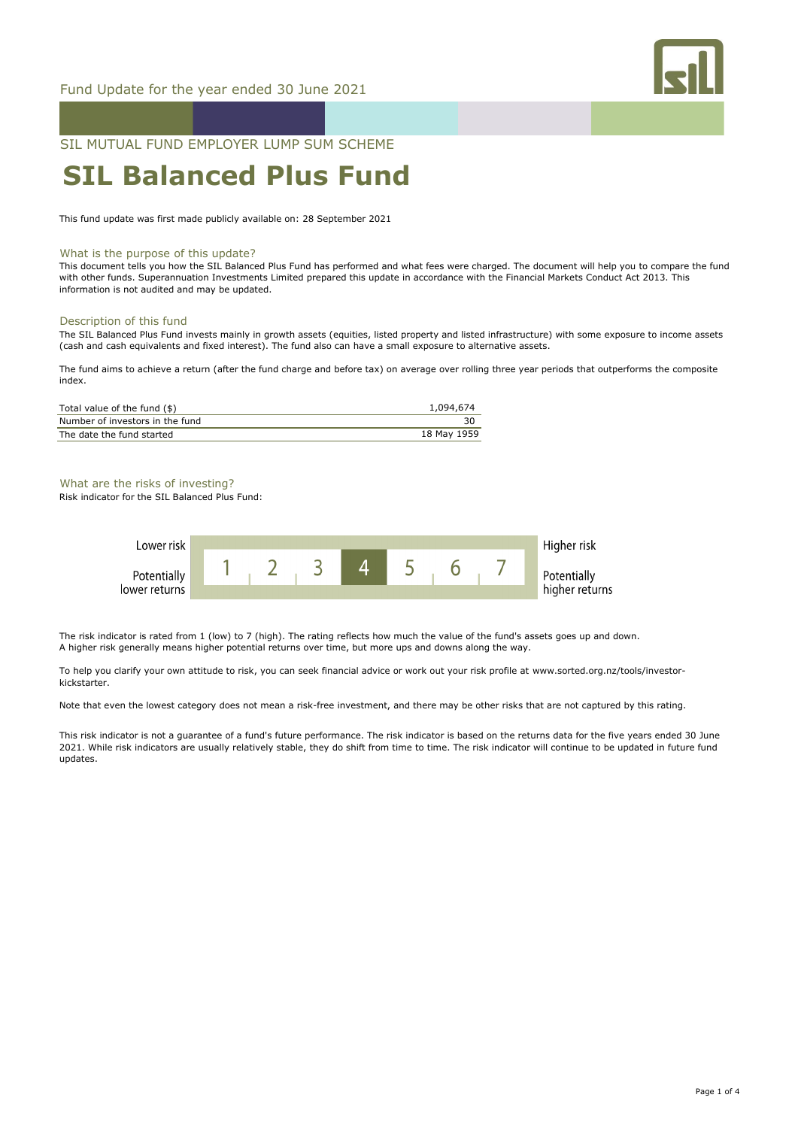

SIL MUTUAL FUND EMPLOYER LUMP SUM SCHEME

# **SIL Balanced Plus Fund**

This fund update was first made publicly available on: 28 September 2021

#### What is the purpose of this update?

This document tells you how the SIL Balanced Plus Fund has performed and what fees were charged. The document will help you to compare the fund with other funds. Superannuation Investments Limited prepared this update in accordance with the Financial Markets Conduct Act 2013. This information is not audited and may be updated.

#### Description of this fund

The SIL Balanced Plus Fund invests mainly in growth assets (equities, listed property and listed infrastructure) with some exposure to income assets (cash and cash equivalents and fixed interest). The fund also can have a small exposure to alternative assets.

The fund aims to achieve a return (after the fund charge and before tax) on average over rolling three year periods that outperforms the composite index.

| Total value of the fund (\$)    | 1,094,674   |
|---------------------------------|-------------|
| Number of investors in the fund |             |
| The date the fund started       | 18 May 1959 |

## What are the risks of investing?

Risk indicator for the SIL Balanced Plus Fund:



The risk indicator is rated from 1 (low) to 7 (high). The rating reflects how much the value of the fund's assets goes up and down. A higher risk generally means higher potential returns over time, but more ups and downs along the way.

To help you clarify your own attitude to risk, you can seek financial advice or work out your risk profile at www.sorted.org.nz/tools/investorkickstarter.

Note that even the lowest category does not mean a risk-free investment, and there may be other risks that are not captured by this rating.

This risk indicator is not a guarantee of a fund's future performance. The risk indicator is based on the returns data for the five years ended 30 June 2021. While risk indicators are usually relatively stable, they do shift from time to time. The risk indicator will continue to be updated in future fund updates.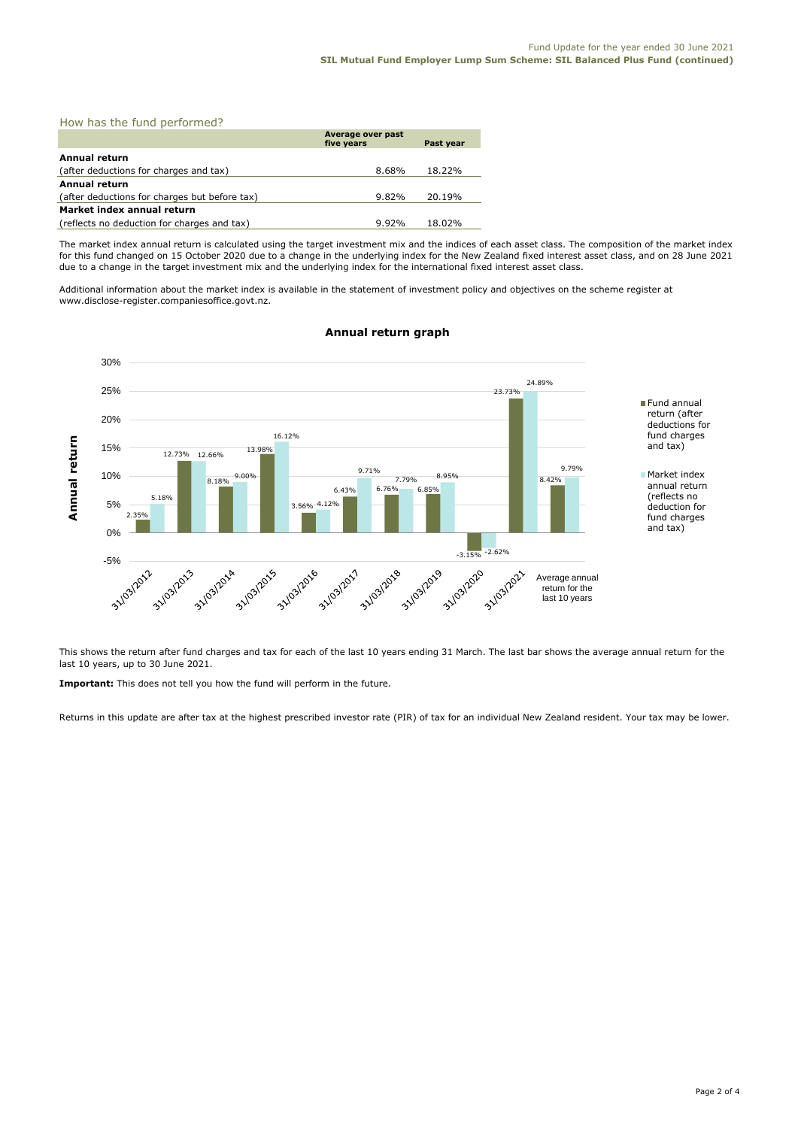| How has the fund performed?                   |                                 |           |  |  |
|-----------------------------------------------|---------------------------------|-----------|--|--|
|                                               | Average over past<br>five years | Past year |  |  |
| <b>Annual return</b>                          |                                 |           |  |  |
| (after deductions for charges and tax)        | 8.68%                           | 18.22%    |  |  |
| <b>Annual return</b>                          |                                 |           |  |  |
| (after deductions for charges but before tax) | $9.82\%$                        | 20.19%    |  |  |
| Market index annual return                    |                                 |           |  |  |
| (reflects no deduction for charges and tax)   | $9.92\%$                        | 18.02%    |  |  |

The market index annual return is calculated using the target investment mix and the indices of each asset class. The composition of the market index for this fund changed on 15 October 2020 due to a change in the underlying index for the New Zealand fixed interest asset class, and on 28 June 2021 due to a change in the target investment mix and the underlying index for the international fixed interest asset class.

Additional information about the market index is available in the statement of investment policy and objectives on the scheme register at www.disclose-register.companiesoffice.govt.nz.



# **Annual return graph**

This shows the return after fund charges and tax for each of the last 10 years ending 31 March. The last bar shows the average annual return for the last 10 years, up to 30 June 2021.

**Important:** This does not tell you how the fund will perform in the future.

Returns in this update are after tax at the highest prescribed investor rate (PIR) of tax for an individual New Zealand resident. Your tax may be lower.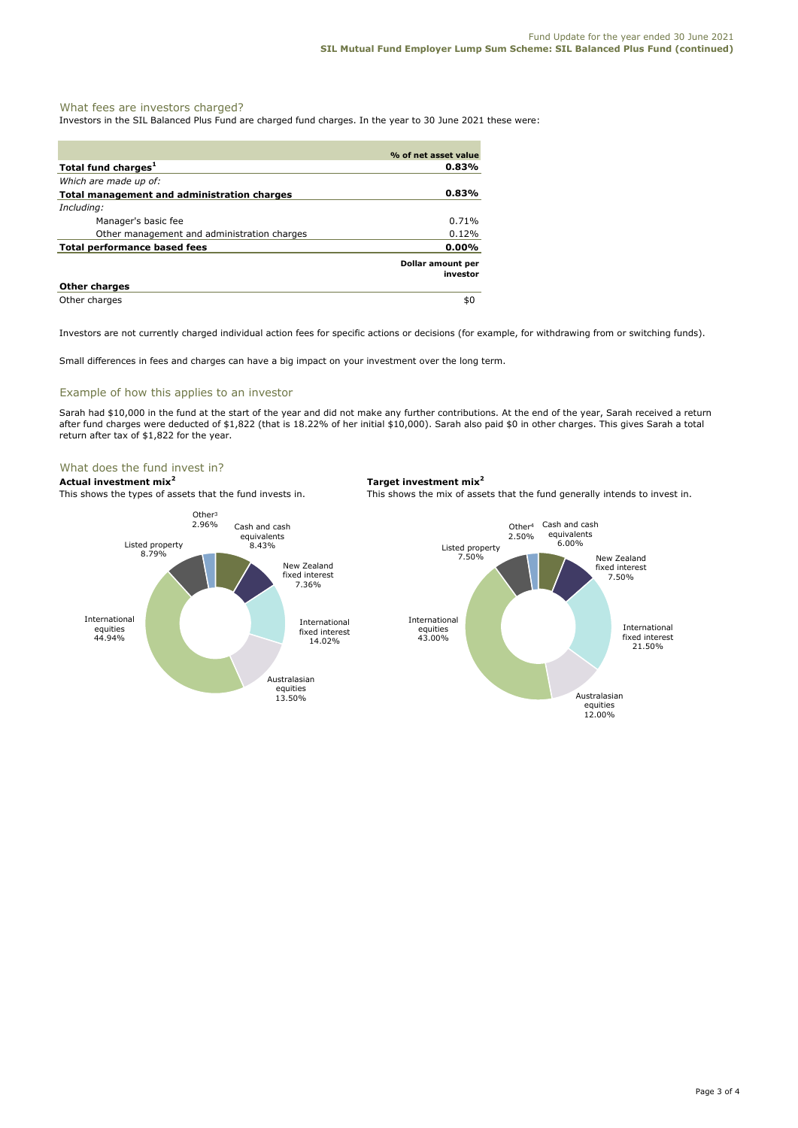# What fees are investors charged?

Investors in the SIL Balanced Plus Fund are charged fund charges. In the year to 30 June 2021 these were:

|                                             | % of net asset value          |
|---------------------------------------------|-------------------------------|
| Total fund charges <sup>1</sup>             | 0.83%                         |
| Which are made up of:                       |                               |
| Total management and administration charges | 0.83%                         |
| Including:                                  |                               |
| Manager's basic fee                         | $0.71\%$                      |
| Other management and administration charges | 0.12%                         |
| Total performance based fees                | $0.00\%$                      |
|                                             | Dollar amount per<br>investor |
| <b>Other charges</b>                        |                               |
| Other charges                               | \$0                           |

Investors are not currently charged individual action fees for specific actions or decisions (for example, for withdrawing from or switching funds).

Small differences in fees and charges can have a big impact on your investment over the long term.

## Example of how this applies to an investor

Sarah had \$10,000 in the fund at the start of the year and did not make any further contributions. At the end of the year, Sarah received a return after fund charges were deducted of \$1,822 (that is 18.22% of her initial \$10,000). Sarah also paid \$0 in other charges. This gives Sarah a total return after tax of \$1,822 for the year.

# What does the fund invest in?

**Actual investment mix<sup>2</sup> Target investment mix<sup>2</sup> This shows the types of assets that the fund invests in. This shows the mix of assets** 



This shows the mix of assets that the fund generally intends to invest in.